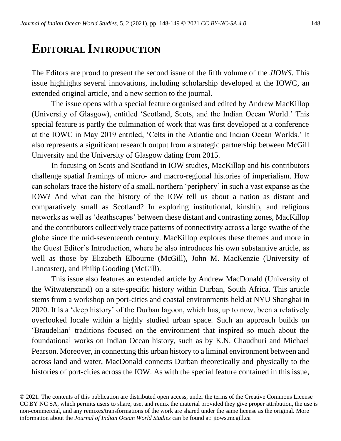## **EDITORIAL INTRODUCTION**

The Editors are proud to present the second issue of the fifth volume of the *JIOWS*. This issue highlights several innovations, including scholarship developed at the IOWC, an extended original article, and a new section to the journal.

The issue opens with a special feature organised and edited by Andrew MacKillop (University of Glasgow), entitled 'Scotland, Scots, and the Indian Ocean World.' This special feature is partly the culmination of work that was first developed at a conference at the IOWC in May 2019 entitled, 'Celts in the Atlantic and Indian Ocean Worlds.' It also represents a significant research output from a strategic partnership between McGill University and the University of Glasgow dating from 2015.

In focusing on Scots and Scotland in IOW studies, MacKillop and his contributors challenge spatial framings of micro- and macro-regional histories of imperialism. How can scholars trace the history of a small, northern 'periphery' in such a vast expanse as the IOW? And what can the history of the IOW tell us about a nation as distant and comparatively small as Scotland? In exploring institutional, kinship, and religious networks as well as 'deathscapes' between these distant and contrasting zones, MacKillop and the contributors collectively trace patterns of connectivity across a large swathe of the globe since the mid-seventeenth century. MacKillop explores these themes and more in the Guest Editor's Introduction, where he also introduces his own substantive article, as well as those by Elizabeth Elbourne (McGill), John M. MacKenzie (University of Lancaster), and Philip Gooding (McGill).

This issue also features an extended article by Andrew MacDonald (University of the Witwatersrand) on a site-specific history within Durban, South Africa. This article stems from a workshop on port-cities and coastal environments held at NYU Shanghai in 2020. It is a 'deep history' of the Durban lagoon, which has, up to now, been a relatively overlooked locale within a highly studied urban space. Such an approach builds on 'Braudelian' traditions focused on the environment that inspired so much about the foundational works on Indian Ocean history, such as by K.N. Chaudhuri and Michael Pearson. Moreover, in connecting this urban history to a liminal environment between and across land and water, MacDonald connects Durban theoretically and physically to the histories of port-cities across the IOW. As with the special feature contained in this issue,

© 2021. The contents of this publication are distributed open access, under the terms of the Creative Commons License CC BY NC SA, which permits users to share, use, and remix the material provided they give proper attribution, the use is non-commercial, and any remixes/transformations of the work are shared under the same license as the original. More information about the *Journal of Indian Ocean World Studies* can be found at: jiows.mcgill.ca